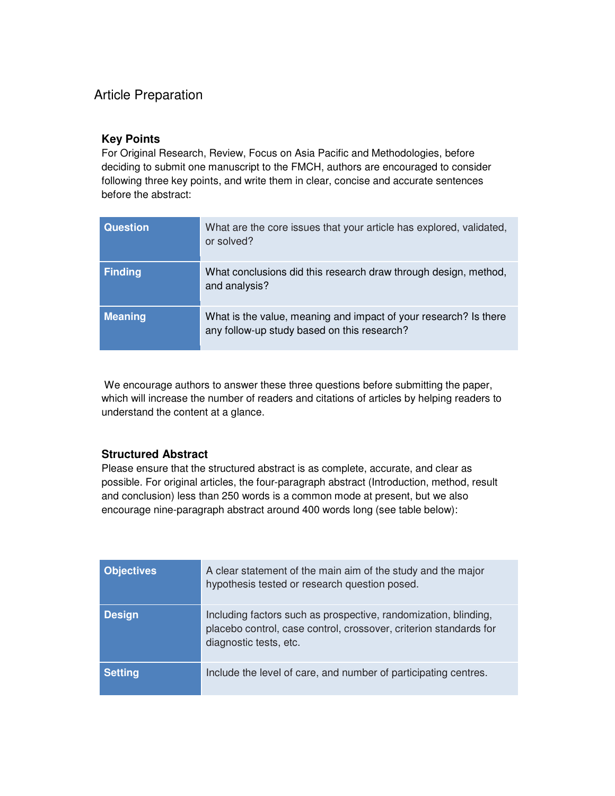## Article Preparation

## **Key Points**

For Original Research, Review, Focus on Asia Pacific and Methodologies, before deciding to submit one manuscript to the FMCH, authors are encouraged to consider following three key points, and write them in clear, concise and accurate sentences before the abstract:

| <b>Question</b> | What are the core issues that your article has explored, validated,<br>or solved?                               |
|-----------------|-----------------------------------------------------------------------------------------------------------------|
| <b>Finding</b>  | What conclusions did this research draw through design, method,<br>and analysis?                                |
| <b>Meaning</b>  | What is the value, meaning and impact of your research? Is there<br>any follow-up study based on this research? |

We encourage authors to answer these three questions before submitting the paper, which will increase the number of readers and citations of articles by helping readers to understand the content at a glance.

## **Structured Abstract**

Please ensure that the structured abstract is as complete, accurate, and clear as possible. For original articles, the four-paragraph abstract (Introduction, method, result and conclusion) less than 250 words is a common mode at present, but we also encourage nine-paragraph abstract around 400 words long (see table below):

| <b>Objectives</b> | A clear statement of the main aim of the study and the major<br>hypothesis tested or research question posed.                                                  |
|-------------------|----------------------------------------------------------------------------------------------------------------------------------------------------------------|
| <b>Design</b>     | Including factors such as prospective, randomization, blinding,<br>placebo control, case control, crossover, criterion standards for<br>diagnostic tests, etc. |
| <b>Setting</b>    | Include the level of care, and number of participating centres.                                                                                                |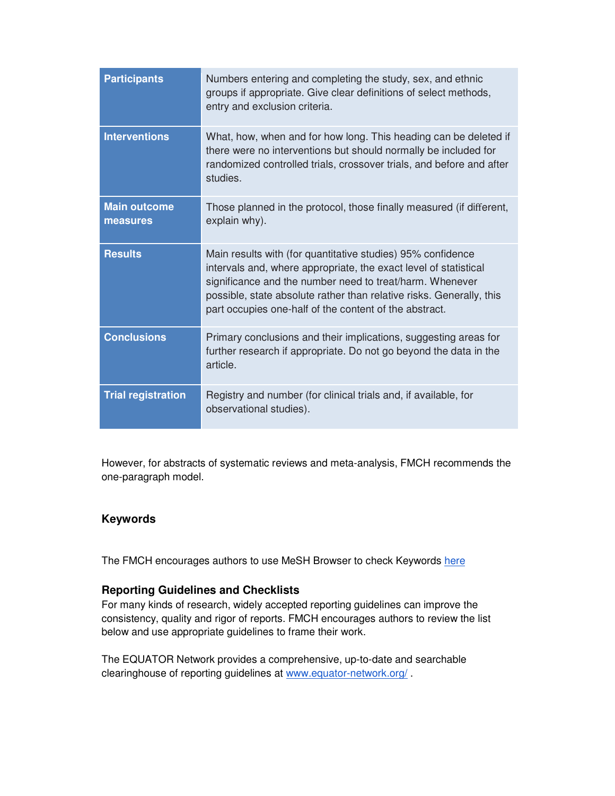| <b>Participants</b>             | Numbers entering and completing the study, sex, and ethnic<br>groups if appropriate. Give clear definitions of select methods,<br>entry and exclusion criteria.                                                                                                                                                               |
|---------------------------------|-------------------------------------------------------------------------------------------------------------------------------------------------------------------------------------------------------------------------------------------------------------------------------------------------------------------------------|
| <b>Interventions</b>            | What, how, when and for how long. This heading can be deleted if<br>there were no interventions but should normally be included for<br>randomized controlled trials, crossover trials, and before and after<br>studies.                                                                                                       |
| <b>Main outcome</b><br>measures | Those planned in the protocol, those finally measured (if different,<br>explain why).                                                                                                                                                                                                                                         |
| <b>Results</b>                  | Main results with (for quantitative studies) 95% confidence<br>intervals and, where appropriate, the exact level of statistical<br>significance and the number need to treat/harm. Whenever<br>possible, state absolute rather than relative risks. Generally, this<br>part occupies one-half of the content of the abstract. |
| <b>Conclusions</b>              | Primary conclusions and their implications, suggesting areas for<br>further research if appropriate. Do not go beyond the data in the<br>article.                                                                                                                                                                             |
| <b>Trial registration</b>       | Registry and number (for clinical trials and, if available, for<br>observational studies).                                                                                                                                                                                                                                    |

However, for abstracts of systematic reviews and meta-analysis, FMCH recommends the one-paragraph model.

## **Keywords**

The FMCH encourages authors to use MeSH Browser to check Keywords here

#### **Reporting Guidelines and Checklists**

For many kinds of research, widely accepted reporting guidelines can improve the consistency, quality and rigor of reports. FMCH encourages authors to review the list below and use appropriate guidelines to frame their work.

The EQUATOR Network provides a comprehensive, up-to-date and searchable clearinghouse of reporting guidelines at www.equator-network.org/ .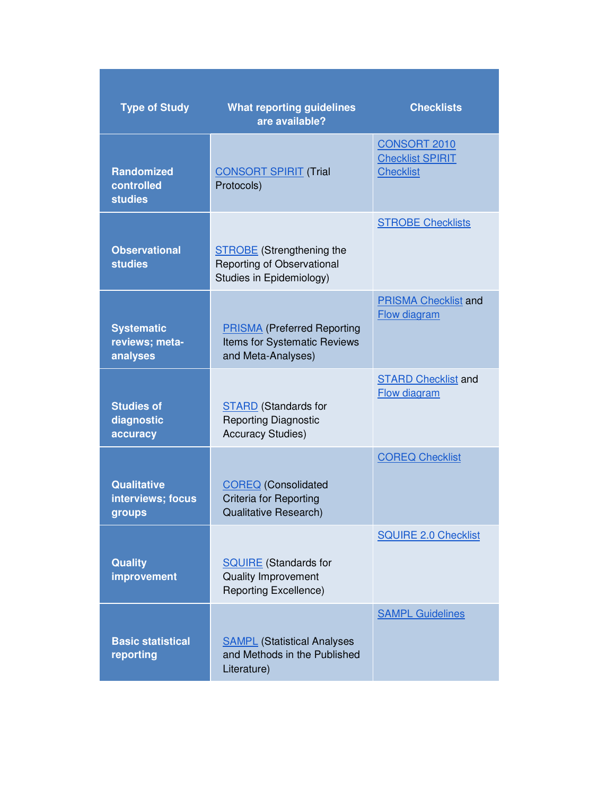| <b>Type of Study</b>                              | <b>What reporting guidelines</b><br>are available?                                          | <b>Checklists</b>                                                  |
|---------------------------------------------------|---------------------------------------------------------------------------------------------|--------------------------------------------------------------------|
| <b>Randomized</b><br>controlled<br><b>studies</b> | <b>CONSORT SPIRIT (Trial</b><br>Protocols)                                                  | <b>CONSORT 2010</b><br><b>Checklist SPIRIT</b><br><b>Checklist</b> |
| <b>Observational</b><br><b>studies</b>            | <b>STROBE</b> (Strengthening the<br>Reporting of Observational<br>Studies in Epidemiology)  | <b>STROBE Checklists</b>                                           |
| <b>Systematic</b><br>reviews; meta-<br>analyses   | <b>PRISMA</b> (Preferred Reporting<br>Items for Systematic Reviews<br>and Meta-Analyses)    | <b>PRISMA Checklist and</b><br>Flow diagram                        |
| <b>Studies of</b><br>diagnostic<br>accuracy       | <b>STARD</b> (Standards for<br><b>Reporting Diagnostic</b><br><b>Accuracy Studies)</b>      | <b>STARD Checklist and</b><br>Flow diagram                         |
| <b>Qualitative</b><br>interviews; focus<br>groups | <b>COREQ</b> (Consolidated<br><b>Criteria for Reporting</b><br><b>Qualitative Research)</b> | <b>COREQ Checklist</b>                                             |
| <b>Quality</b><br>improvement                     | <b>SQUIRE</b> (Standards for<br>Quality Improvement<br><b>Reporting Excellence)</b>         | <b>SQUIRE 2.0 Checklist</b>                                        |
| <b>Basic statistical</b><br>reporting             | <b>SAMPL</b> (Statistical Analyses<br>and Methods in the Published<br>Literature)           | <b>SAMPL Guidelines</b>                                            |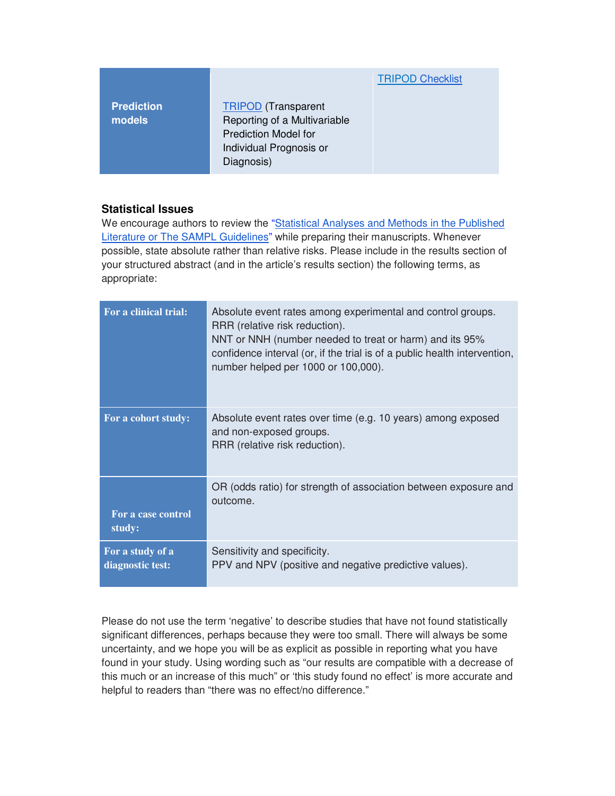|                             |                                                                                                                                    | <b>TRIPOD Checklist</b> |
|-----------------------------|------------------------------------------------------------------------------------------------------------------------------------|-------------------------|
| <b>Prediction</b><br>models | <b>TRIPOD</b> (Transparent<br>Reporting of a Multivariable<br><b>Prediction Model for</b><br>Individual Prognosis or<br>Diagnosis) |                         |

## **Statistical Issues**

We encourage authors to review the "Statistical Analyses and Methods in the Published Literature or The SAMPL Guidelines" while preparing their manuscripts. Whenever possible, state absolute rather than relative risks. Please include in the results section of your structured abstract (and in the article's results section) the following terms, as appropriate:

| For a clinical trial: | Absolute event rates among experimental and control groups.<br>RRR (relative risk reduction).<br>NNT or NNH (number needed to treat or harm) and its 95%<br>confidence interval (or, if the trial is of a public health intervention,<br>number helped per 1000 or 100,000). |
|-----------------------|------------------------------------------------------------------------------------------------------------------------------------------------------------------------------------------------------------------------------------------------------------------------------|
| For a cohort study:   | Absolute event rates over time (e.g. 10 years) among exposed<br>and non-exposed groups.<br>RRR (relative risk reduction).                                                                                                                                                    |
| For a case control    | OR (odds ratio) for strength of association between exposure and                                                                                                                                                                                                             |
| study:                | outcome.                                                                                                                                                                                                                                                                     |
| For a study of a      | Sensitivity and specificity.                                                                                                                                                                                                                                                 |
| diagnostic test:      | PPV and NPV (positive and negative predictive values).                                                                                                                                                                                                                       |

Please do not use the term 'negative' to describe studies that have not found statistically significant differences, perhaps because they were too small. There will always be some uncertainty, and we hope you will be as explicit as possible in reporting what you have found in your study. Using wording such as "our results are compatible with a decrease of this much or an increase of this much" or 'this study found no effect' is more accurate and helpful to readers than "there was no effect/no difference."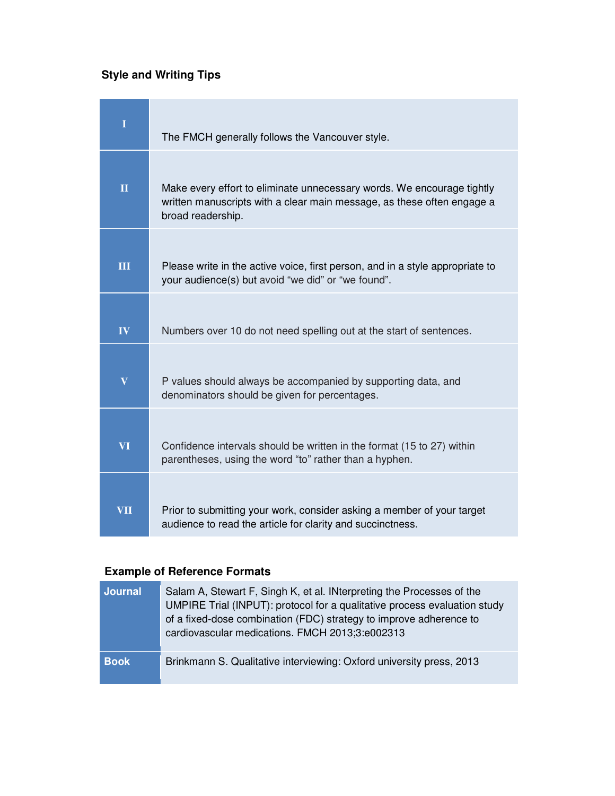# **Style and Writing Tips**

| $\mathbf I$             | The FMCH generally follows the Vancouver style.                                                                                                                       |
|-------------------------|-----------------------------------------------------------------------------------------------------------------------------------------------------------------------|
| $\overline{\mathbf{H}}$ | Make every effort to eliminate unnecessary words. We encourage tightly<br>written manuscripts with a clear main message, as these often engage a<br>broad readership. |
| $\overline{\mathbf{H}}$ | Please write in the active voice, first person, and in a style appropriate to<br>your audience(s) but avoid "we did" or "we found".                                   |
| IV                      | Numbers over 10 do not need spelling out at the start of sentences.                                                                                                   |
| $\overline{\mathbf{V}}$ | P values should always be accompanied by supporting data, and<br>denominators should be given for percentages.                                                        |
| VI                      | Confidence intervals should be written in the format (15 to 27) within<br>parentheses, using the word "to" rather than a hyphen.                                      |
| VII                     | Prior to submitting your work, consider asking a member of your target<br>audience to read the article for clarity and succinctness.                                  |

# **Example of Reference Formats**

| <b>Journal</b> | Salam A, Stewart F, Singh K, et al. INterpreting the Processes of the<br>UMPIRE Trial (INPUT): protocol for a qualitative process evaluation study<br>of a fixed-dose combination (FDC) strategy to improve adherence to<br>cardiovascular medications. FMCH 2013;3:e002313 |
|----------------|-----------------------------------------------------------------------------------------------------------------------------------------------------------------------------------------------------------------------------------------------------------------------------|
| <b>Book</b>    | Brinkmann S. Qualitative interviewing: Oxford university press, 2013                                                                                                                                                                                                        |